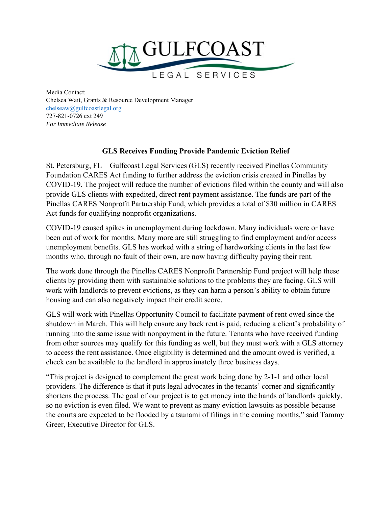

Media Contact: Chelsea Wait, Grants & Resource Development Manager chelseaw@gulfcoastlegal.org 727-821-0726 ext 249 *For Immediate Release*

## **GLS Receives Funding Provide Pandemic Eviction Relief**

St. Petersburg, FL – Gulfcoast Legal Services (GLS) recently received Pinellas Community Foundation CARES Act funding to further address the eviction crisis created in Pinellas by COVID-19. The project will reduce the number of evictions filed within the county and will also provide GLS clients with expedited, direct rent payment assistance. The funds are part of the Pinellas CARES Nonprofit Partnership Fund, which provides a total of \$30 million in CARES Act funds for qualifying nonprofit organizations.

COVID-19 caused spikes in unemployment during lockdown. Many individuals were or have been out of work for months. Many more are still struggling to find employment and/or access unemployment benefits. GLS has worked with a string of hardworking clients in the last few months who, through no fault of their own, are now having difficulty paying their rent.

The work done through the Pinellas CARES Nonprofit Partnership Fund project will help these clients by providing them with sustainable solutions to the problems they are facing. GLS will work with landlords to prevent evictions, as they can harm a person's ability to obtain future housing and can also negatively impact their credit score.

GLS will work with Pinellas Opportunity Council to facilitate payment of rent owed since the shutdown in March. This will help ensure any back rent is paid, reducing a client's probability of running into the same issue with nonpayment in the future. Tenants who have received funding from other sources may qualify for this funding as well, but they must work with a GLS attorney to access the rent assistance. Once eligibility is determined and the amount owed is verified, a check can be available to the landlord in approximately three business days.

"This project is designed to complement the great work being done by 2-1-1 and other local providers. The difference is that it puts legal advocates in the tenants' corner and significantly shortens the process. The goal of our project is to get money into the hands of landlords quickly, so no eviction is even filed. We want to prevent as many eviction lawsuits as possible because the courts are expected to be flooded by a tsunami of filings in the coming months," said Tammy Greer, Executive Director for GLS.